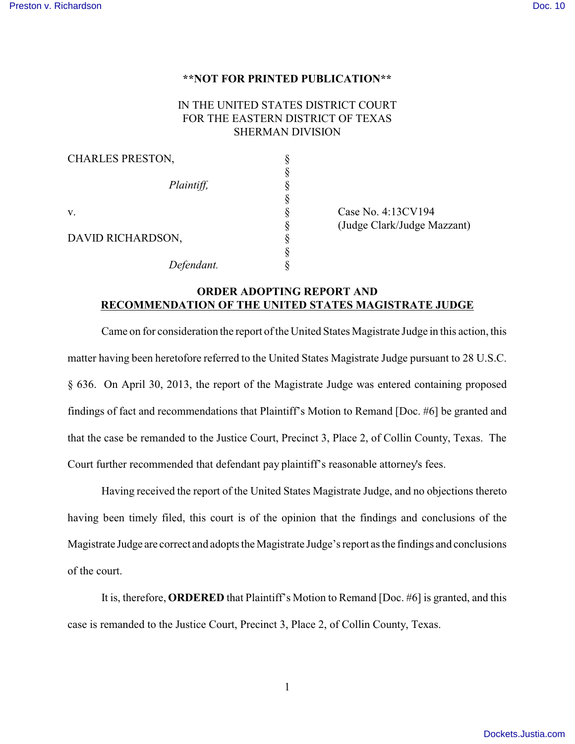## **\*\*NOT FOR PRINTED PUBLICATION\*\***

## IN THE UNITED STATES DISTRICT COURT FOR THE EASTERN DISTRICT OF TEXAS SHERMAN DIVISION

| CHARLES PRESTON,  |            |  |
|-------------------|------------|--|
|                   |            |  |
|                   | Plaintiff, |  |
|                   |            |  |
| v.                |            |  |
|                   |            |  |
| DAVID RICHARDSON, |            |  |
|                   |            |  |
|                   | Defendant. |  |

Case No. 4:13CV194 § (Judge Clark/Judge Mazzant)

## **ORDER ADOPTING REPORT AND RECOMMENDATION OF THE UNITED STATES MAGISTRATE JUDGE**

Came on for consideration the report of the United States Magistrate Judge in this action, this matter having been heretofore referred to the United States Magistrate Judge pursuant to 28 U.S.C. § 636. On April 30, 2013, the report of the Magistrate Judge was entered containing proposed findings of fact and recommendations that Plaintiff's Motion to Remand [Doc. #6] be granted and that the case be remanded to the Justice Court, Precinct 3, Place 2, of Collin County, Texas. The Court further recommended that defendant pay plaintiff's reasonable attorney's fees.

Having received the report of the United States Magistrate Judge, and no objections thereto having been timely filed, this court is of the opinion that the findings and conclusions of the Magistrate Judge are correct and adopts the Magistrate Judge's report as the findings and conclusions of the court.

It is, therefore, **ORDERED** that Plaintiff's Motion to Remand [Doc. #6] is granted, and this case is remanded to the Justice Court, Precinct 3, Place 2, of Collin County, Texas.